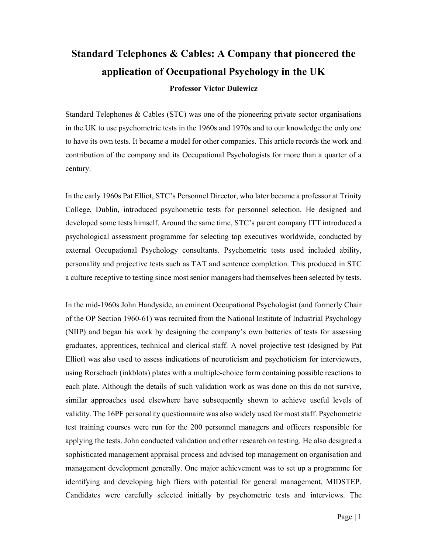## Standard Telephones & Cables: A Company that pioneered the application of Occupational Psychology in the UK

## Professor Victor Dulewicz

Standard Telephones & Cables (STC) was one of the pioneering private sector organisations in the UK to use psychometric tests in the 1960s and 1970s and to our knowledge the only one to have its own tests. It became a model for other companies. This article records the work and contribution of the company and its Occupational Psychologists for more than a quarter of a century.

In the early 1960s Pat Elliot, STC's Personnel Director, who later became a professor at Trinity College, Dublin, introduced psychometric tests for personnel selection. He designed and developed some tests himself. Around the same time, STC's parent company ITT introduced a psychological assessment programme for selecting top executives worldwide, conducted by external Occupational Psychology consultants. Psychometric tests used included ability, personality and projective tests such as TAT and sentence completion. This produced in STC a culture receptive to testing since most senior managers had themselves been selected by tests.

In the mid-1960s John Handyside, an eminent Occupational Psychologist (and formerly Chair of the OP Section 1960-61) was recruited from the National Institute of Industrial Psychology (NIIP) and began his work by designing the company's own batteries of tests for assessing graduates, apprentices, technical and clerical staff. A novel projective test (designed by Pat Elliot) was also used to assess indications of neuroticism and psychoticism for interviewers, using Rorschach (inkblots) plates with a multiple-choice form containing possible reactions to each plate. Although the details of such validation work as was done on this do not survive, similar approaches used elsewhere have subsequently shown to achieve useful levels of validity. The 16PF personality questionnaire was also widely used for most staff. Psychometric test training courses were run for the 200 personnel managers and officers responsible for applying the tests. John conducted validation and other research on testing. He also designed a sophisticated management appraisal process and advised top management on organisation and management development generally. One major achievement was to set up a programme for identifying and developing high fliers with potential for general management, MIDSTEP. Candidates were carefully selected initially by psychometric tests and interviews. The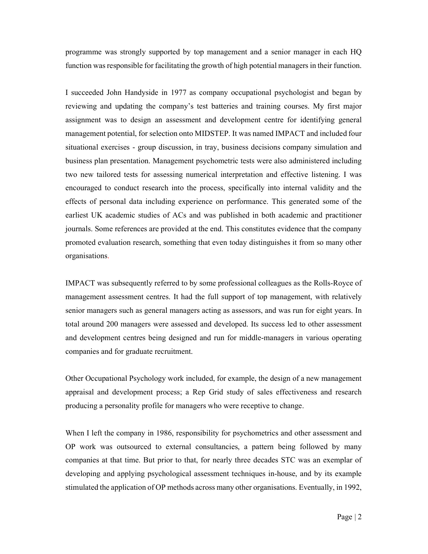programme was strongly supported by top management and a senior manager in each HQ function was responsible for facilitating the growth of high potential managers in their function.

I succeeded John Handyside in 1977 as company occupational psychologist and began by reviewing and updating the company's test batteries and training courses. My first major assignment was to design an assessment and development centre for identifying general management potential, for selection onto MIDSTEP. It was named IMPACT and included four situational exercises - group discussion, in tray, business decisions company simulation and business plan presentation. Management psychometric tests were also administered including two new tailored tests for assessing numerical interpretation and effective listening. I was encouraged to conduct research into the process, specifically into internal validity and the effects of personal data including experience on performance. This generated some of the earliest UK academic studies of ACs and was published in both academic and practitioner journals. Some references are provided at the end. This constitutes evidence that the company promoted evaluation research, something that even today distinguishes it from so many other organisations.

IMPACT was subsequently referred to by some professional colleagues as the Rolls-Royce of management assessment centres. It had the full support of top management, with relatively senior managers such as general managers acting as assessors, and was run for eight years. In total around 200 managers were assessed and developed. Its success led to other assessment and development centres being designed and run for middle-managers in various operating companies and for graduate recruitment.

Other Occupational Psychology work included, for example, the design of a new management appraisal and development process; a Rep Grid study of sales effectiveness and research producing a personality profile for managers who were receptive to change.

When I left the company in 1986, responsibility for psychometrics and other assessment and OP work was outsourced to external consultancies, a pattern being followed by many companies at that time. But prior to that, for nearly three decades STC was an exemplar of developing and applying psychological assessment techniques in-house, and by its example stimulated the application of OP methods across many other organisations. Eventually, in 1992,